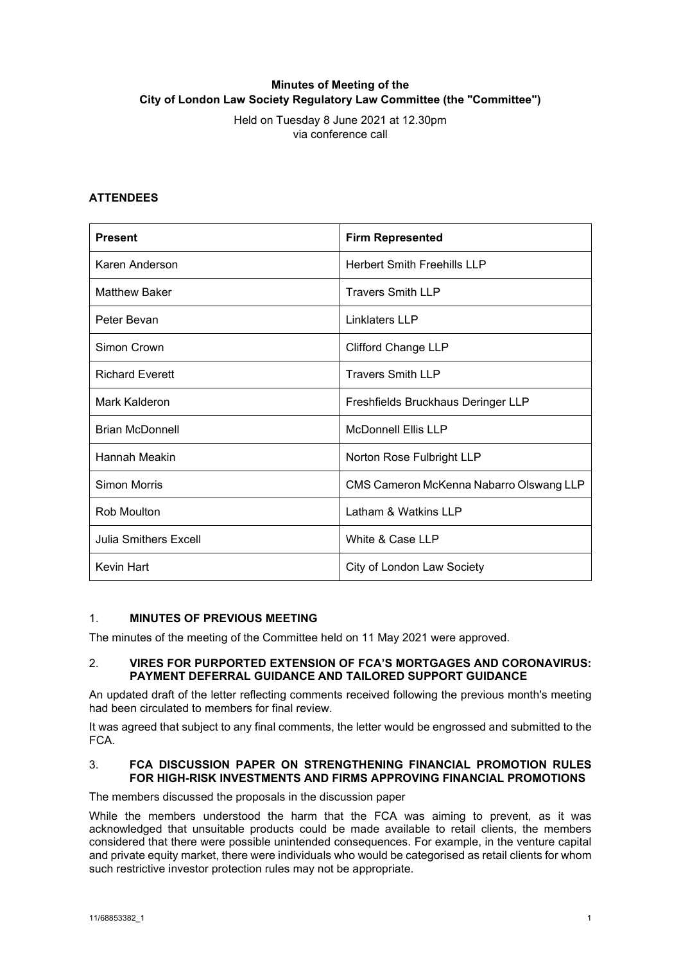# **Minutes of Meeting of the City of London Law Society Regulatory Law Committee (the "Committee")**

Held on Tuesday 8 June 2021 at 12.30pm via conference call

## **ATTENDEES**

| <b>Present</b>               | <b>Firm Represented</b>                 |
|------------------------------|-----------------------------------------|
| Karen Anderson               | <b>Herbert Smith Freehills LLP</b>      |
| Matthew Baker                | <b>Travers Smith LLP</b>                |
| Peter Bevan                  | Linklaters LLP                          |
| Simon Crown                  | <b>Clifford Change LLP</b>              |
| <b>Richard Everett</b>       | <b>Travers Smith LLP</b>                |
| Mark Kalderon                | Freshfields Bruckhaus Deringer LLP      |
| <b>Brian McDonnell</b>       | <b>McDonnell Ellis LLP</b>              |
| Hannah Meakin                | Norton Rose Fulbright LLP               |
| Simon Morris                 | CMS Cameron McKenna Nabarro Olswang LLP |
| Rob Moulton                  | Latham & Watkins LLP                    |
| <b>Julia Smithers Excell</b> | White & Case LLP                        |
| <b>Kevin Hart</b>            | City of London Law Society              |

## 1. **MINUTES OF PREVIOUS MEETING**

The minutes of the meeting of the Committee held on 11 May 2021 were approved.

## 2. **VIRES FOR PURPORTED EXTENSION OF FCA'S MORTGAGES AND CORONAVIRUS: PAYMENT DEFERRAL GUIDANCE AND TAILORED SUPPORT GUIDANCE**

An updated draft of the letter reflecting comments received following the previous month's meeting had been circulated to members for final review.

It was agreed that subject to any final comments, the letter would be engrossed and submitted to the FCA.

## 3. **FCA DISCUSSION PAPER ON STRENGTHENING FINANCIAL PROMOTION RULES FOR HIGH-RISK INVESTMENTS AND FIRMS APPROVING FINANCIAL PROMOTIONS**

The members discussed the proposals in the discussion paper

While the members understood the harm that the FCA was aiming to prevent, as it was acknowledged that unsuitable products could be made available to retail clients, the members considered that there were possible unintended consequences. For example, in the venture capital and private equity market, there were individuals who would be categorised as retail clients for whom such restrictive investor protection rules may not be appropriate.